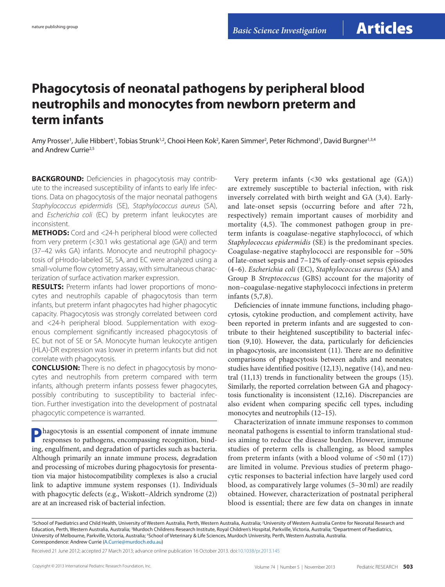# **Phagocytosis of neonatal pathogens by peripheral blood neutrophils and monocytes from newborn preterm and term infants**

Amy Prosser', Julie Hibbert', Tobias Strunk'<sup>,2</sup>, Chooi Heen Kok<sup>2</sup>, Karen Simmer<sup>2</sup>, Peter Richmond', David Burgner'<sup>,3,4</sup> and Andrew Currie<sup>2,5</sup>

**BACKGROUND:** Deficiencies in phagocytosis may contribute to the increased susceptibility of infants to early life infections. Data on phagocytosis of the major neonatal pathogens *Staphylococcus epidermidis* (SE), *Staphylococcus aureus* (SA), and *Escherichia coli* (EC) by preterm infant leukocytes are inconsistent.

**METHODS:** Cord and <24-h peripheral blood were collected from very preterm (<30.1 wks gestational age (GA)) and term (37–42 wks GA) infants. Monocyte and neutrophil phagocytosis of pHrodo-labeled SE, SA, and EC were analyzed using a small-volume flow cytometry assay, with simultaneous characterization of surface activation marker expression.

**RESULTS:** Preterm infants had lower proportions of monocytes and neutrophils capable of phagocytosis than term infants, but preterm infant phagocytes had higher phagocytic capacity. Phagocytosis was strongly correlated between cord and <24-h peripheral blood. Supplementation with exogenous complement significantly increased phagocytosis of EC but not of SE or SA. Monocyte human leukocyte antigen (HLA)-DR expression was lower in preterm infants but did not correlate with phagocytosis.

**Conclusion:** There is no defect in phagocytosis by monocytes and neutrophils from preterm compared with term infants, although preterm infants possess fewer phagocytes, possibly contributing to susceptibility to bacterial infection. Further investigation into the development of postnatal phagocytic competence is warranted.

**Phagocytosis is an essential component of innate immune** responses to pathogens, encompassing recognition, binding, engulfment, and degradation of particles such as bacteria. Although primarily an innate immune process, degradation and processing of microbes during phagocytosis for presentation via major histocompatibility complexes is also a crucial link to adaptive immune system responses (1). Individuals with phagocytic defects (e.g., Wiskott–Aldrich syndrome (2)) are at an increased risk of bacterial infection.

Very preterm infants (<30 wks gestational age (GA)) are extremely susceptible to bacterial infection, with risk inversely correlated with birth weight and GA (3,4). Earlyand late-onset sepsis (occurring before and after 72 h, respectively) remain important causes of morbidity and mortality (4,5). The commonest pathogen group in preterm infants is coagulase-negative staphylococci, of which *Staphylococcus epidermidis* (SE) is the predominant species. Coagulase-negative staphylococci are responsible for ~50% of late-onset sepsis and 7–12% of early-onset sepsis episodes (4–6). *Escherichia coli* (EC), *Staphylococcus aureus* (SA) and Group B *Streptococcus* (GBS) account for the majority of non–coagulase-negative staphylococci infections in preterm infants (5,7,8).

Deficiencies of innate immune functions, including phagocytosis, cytokine production, and complement activity, have been reported in preterm infants and are suggested to contribute to their heightened susceptibility to bacterial infection (9,10). However, the data, particularly for deficiencies in phagocytosis, are inconsistent (11). There are no definitive comparisons of phagocytosis between adults and neonates; studies have identified positive (12,13), negative (14), and neutral (11,13) trends in functionality between the groups (15). Similarly, the reported correlation between GA and phagocytosis functionality is inconsistent (12,16). Discrepancies are also evident when comparing specific cell types, including monocytes and neutrophils (12–15).

Characterization of innate immune responses to common neonatal pathogens is essential to inform translational studies aiming to reduce the disease burden. However, immune studies of preterm cells is challenging, as blood samples from preterm infants (with a blood volume of <50 ml (17)) are limited in volume. Previous studies of preterm phagocytic responses to bacterial infection have largely used cord blood, as comparatively large volumes (5–30 ml) are readily obtained. However, characterization of postnatal peripheral blood is essential; there are few data on changes in innate

Received 21 June 2012; accepted 27 March 2013; advance online publication 16 October 2013. doi:10.1038/pr.2013.145

<sup>&</sup>lt;sup>1</sup>School of Paediatrics and Child Health, University of Western Australia, Perth, Western Australia, Australia; <sup>2</sup>University of Western Australia Centre for Neonatal Research and Education, Perth, Western Australia, Australia; <sup>3</sup>Murdoch Childrens Research Institute, Royal Children's Hospital, Parkville, Victoria, Australia; <sup>4</sup>Department of Paediatrics, University of Melbourne, Parkville, Victoria, Australia; <sup>s</sup>School of Veterinary & Life Sciences, Murdoch University, Perth, Western Australia, Australia. Correspondence: Andrew Currie (A.Currie@murdoch.edu.au)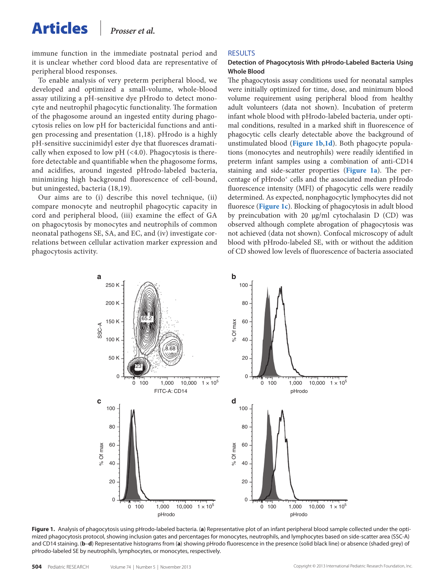immune function in the immediate postnatal period and it is unclear whether cord blood data are representative of peripheral blood responses.

To enable analysis of very preterm peripheral blood, we developed and optimized a small-volume, whole-blood assay utilizing a pH-sensitive dye pHrodo to detect monocyte and neutrophil phagocytic functionality. The formation of the phagosome around an ingested entity during phagocytosis relies on low pH for bactericidal functions and antigen processing and presentation (1,18). pHrodo is a highly pH-sensitive succinimidyl ester dye that fluoresces dramatically when exposed to low  $pH$  (<4.0). Phagocytosis is therefore detectable and quantifiable when the phagosome forms, and acidifies, around ingested pHrodo-labeled bacteria, minimizing high background fluorescence of cell-bound, but uningested, bacteria (18,19).

Our aims are to (i) describe this novel technique, (ii) compare monocyte and neutrophil phagocytic capacity in cord and peripheral blood, (iii) examine the effect of GA on phagocytosis by monocytes and neutrophils of common neonatal pathogens SE, SA, and EC, and (iv) investigate correlations between cellular activation marker expression and phagocytosis activity.

## **RESULTS**

## **Detection of Phagocytosis With pHrodo-Labeled Bacteria Using Whole Blood**

The phagocytosis assay conditions used for neonatal samples were initially optimized for time, dose, and minimum blood volume requirement using peripheral blood from healthy adult volunteers (data not shown). Incubation of preterm infant whole blood with pHrodo-labeled bacteria, under optimal conditions, resulted in a marked shift in fluorescence of phagocytic cells clearly detectable above the background of unstimulated blood (**Figure 1b**,**1d**). Both phagocyte populations (monocytes and neutrophils) were readily identified in preterm infant samples using a combination of anti-CD14 staining and side-scatter properties (**Figure 1a**). The percentage of pHrodo<sup>+</sup> cells and the associated median pHrodo fluorescence intensity (MFI) of phagocytic cells were readily determined. As expected, nonphagocytic lymphocytes did not fluoresce (**Figure 1c**). Blocking of phagocytosis in adult blood by preincubation with 20 μg/ml cytochalasin D (CD) was observed although complete abrogation of phagocytosis was not achieved (data not shown). Confocal microscopy of adult blood with pHrodo-labeled SE, with or without the addition of CD showed low levels of fluorescence of bacteria associated



**Figure 1.** Analysis of phagocytosis using pHrodo-labeled bacteria. (**a**) Representative plot of an infant peripheral blood sample collected under the optimized phagocytosis protocol, showing inclusion gates and percentages for monocytes, neutrophils, and lymphocytes based on side-scatter area (SSC-A) and CD14 staining. (**b**–**d**) Representative histograms from (**a**) showing pHrodo fluorescence in the presence (solid black line) or absence (shaded grey) of pHrodo-labeled SE by neutrophils, lymphocytes, or monocytes, respectively.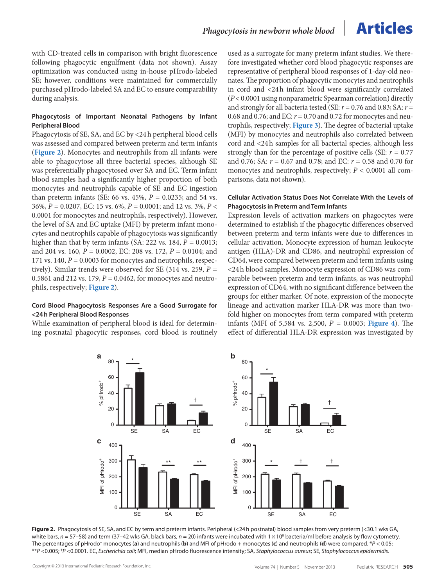

with CD-treated cells in comparison with bright fluorescence following phagocytic engulfment (data not shown). Assay optimization was conducted using in-house pHrodo-labeled SE; however, conditions were maintained for commercially purchased pHrodo-labeled SA and EC to ensure comparability during analysis.

## **Phagocytosis of Important Neonatal Pathogens by Infant Peripheral Blood**

Phagocytosis of SE, SA, and EC by <24h peripheral blood cells was assessed and compared between preterm and term infants (**Figure 2**). Monocytes and neutrophils from all infants were able to phagocytose all three bacterial species, although SE was preferentially phagocytosed over SA and EC. Term infant blood samples had a significantly higher proportion of both monocytes and neutrophils capable of SE and EC ingestion than preterm infants (SE: 66 vs. 45%, *P =* 0.0235; and 54 vs. 36%, *P =* 0.0207, EC: 15 vs. 6%, *P =* 0.0001; and 12 vs. 3%, *P* < 0.0001 for monocytes and neutrophils, respectively). However, the level of SA and EC uptake (MFI) by preterm infant monocytes and neutrophils capable of phagocytosis was significantly higher than that by term infants (SA: 222 vs. 184, *P =* 0.0013; and 204 vs. 160, *P =* 0.0002, EC: 208 vs. 172, *P =* 0.0104; and 171 vs. 140, *P =* 0.0003 for monocytes and neutrophils, respectively). Similar trends were observed for SE (314 vs. 259, *P =* 0.5861 and 212 vs. 179, *P =* 0.0462, for monocytes and neutrophils, respectively; **Figure 2**).

## **Cord Blood Phagocytosis Responses Are a Good Surrogate for <24h Peripheral Blood Responses**

While examination of peripheral blood is ideal for determining postnatal phagocytic responses, cord blood is routinely

used as a surrogate for many preterm infant studies. We therefore investigated whether cord blood phagocytic responses are representative of peripheral blood responses of 1-day-old neonates. The proportion of phagocytic monocytes and neutrophils in cord and <24h infant blood were significantly correlated (*P* < 0.0001 using nonparametric Spearman correlation) directly and strongly for all bacteria tested (SE: *r* = 0.76 and 0.83; SA: *r* = 0.68 and 0.76; and EC: *r* = 0.70 and 0.72 for monocytes and neutrophils, respectively; **Figure 3**). The degree of bacterial uptake (MFI) by monocytes and neutrophils also correlated between cord and <24h samples for all bacterial species, although less strongly than for the percentage of positive cells (SE:  $r = 0.77$ ) and 0.76; SA: *r* = 0.67 and 0.78; and EC: *r* = 0.58 and 0.70 for monocytes and neutrophils, respectively; *P* < 0.0001 all comparisons, data not shown).

# **Cellular Activation Status Does Not Correlate With the Levels of Phagocytosis in Preterm and Term Infants**

Expression levels of activation markers on phagocytes were determined to establish if the phagocytic differences observed between preterm and term infants were due to differences in cellular activation. Monocyte expression of human leukocyte antigen (HLA)-DR and CD86, and neutrophil expression of CD64, were compared between preterm and term infants using <24h blood samples. Monocyte expression of CD86 was comparable between preterm and term infants, as was neutrophil expression of CD64, with no significant difference between the groups for either marker. Of note, expression of the monocyte lineage and activation marker HLA-DR was more than twofold higher on monocytes from term compared with preterm infants (MFI of 5,584 vs. 2,500, *P =* 0.0003; **Figure 4**). The effect of differential HLA-DR expression was investigated by



Figure 2. Phagocytosis of SE, SA, and EC by term and preterm infants. Peripheral (<24h postnatal) blood samples from very preterm (<30.1 wks GA, white bars,  $n = 57-58$ ) and term (37-42 wks GA, black bars,  $n = 20$ ) infants were incubated with  $1 \times 10^8$  bacteria/ml before analysis by flow cytometry. The percentages of pHrodo+ monocytes (**a**) and neutrophils (**b**) and MFI of pHrodo + monocytes (**c**) and neutrophils (**d**) were compared. \**P* < 0.05; \*\**P* <0.005; † *P* <0.0001. EC, *Escherichia coli*; MFI, median pHrodo fluorescence intensity; SA, *Staphylococcus aureus*; SE, *Staphylococcus epidermidis*.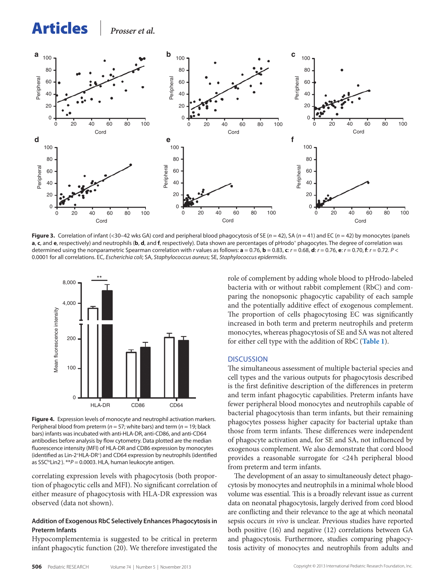

**Figure 3.** Correlation of infant (<30–42 wks GA) cord and peripheral blood phagocytosis of SE (*n* = 42), SA (*n* = 41) and EC (*n* = 42) by monocytes (panels **a**, **c**, and **e**, respectively) and neutrophils (**b**, **d**, and **f**, respectively). Data shown are percentages of pHrodo+ phagocytes. The degree of correlation was determined using the nonparametric Spearman correlation with r values as follows:  $a = 0.76$ ,  $b = 0.83$ ,  $c$ :  $r = 0.68$ ,  $d$ :  $r = 0.76$ ,  $e$ :  $r = 0.70$ ,  $f$ :  $r = 0.72$ .  $P <$ 0.0001 for all correlations. EC, *Escherichia coli*; SA, *Staphylococcus aureus*; SE, *Staphylococcus epidermidis*.



**Figure 4.** Expression levels of monocyte and neutrophil activation markers. Peripheral blood from preterm (*n* = 57; white bars) and term (*n* = 19; black bars) infants was incubated with anti-HLA-DR, anti-CD86, and anti-CD64 antibodies before analysis by flow cytometry. Data plotted are the median fluorescence intensity (MFI) of HLA-DR and CD86 expression by monocytes (identified as Lin-2+HLA-DR+) and CD64 expression by neutrophils (identified as SSC<sup>hi</sup>Lin2<sup>-</sup>). \*\**P* = 0.0003. HLA, human leukocyte antigen.

correlating expression levels with phagocytosis (both proportion of phagocytic cells and MFI). No significant correlation of either measure of phagocytosis with HLA-DR expression was observed (data not shown).

## **Addition of Exogenous RbC Selectively Enhances Phagocytosis in Preterm Infants**

Hypocomplementemia is suggested to be critical in preterm infant phagocytic function (20). We therefore investigated the role of complement by adding whole blood to pHrodo-labeled bacteria with or without rabbit complement (RbC) and comparing the nonopsonic phagocytic capability of each sample and the potentially additive effect of exogenous complement. The proportion of cells phagocytosing EC was significantly increased in both term and preterm neutrophils and preterm monocytes, whereas phagocytosis of SE and SA was not altered for either cell type with the addition of RbC (**Table 1**).

## **DISCUSSION**

The simultaneous assessment of multiple bacterial species and cell types and the various outputs for phagocytosis described is the first definitive description of the differences in preterm and term infant phagocytic capabilities. Preterm infants have fewer peripheral blood monocytes and neutrophils capable of bacterial phagocytosis than term infants, but their remaining phagocytes possess higher capacity for bacterial uptake than those from term infants. These differences were independent of phagocyte activation and, for SE and SA, not influenced by exogenous complement. We also demonstrate that cord blood provides a reasonable surrogate for <24h peripheral blood from preterm and term infants.

The development of an assay to simultaneously detect phagocytosis by monocytes and neutrophils in a minimal whole blood volume was essential. This is a broadly relevant issue as current data on neonatal phagocytosis, largely derived from cord blood are conflicting and their relevance to the age at which neonatal sepsis occurs *in vivo* is unclear. Previous studies have reported both positive (16) and negative (12) correlations between GA and phagocytosis. Furthermore, studies comparing phagocytosis activity of monocytes and neutrophils from adults and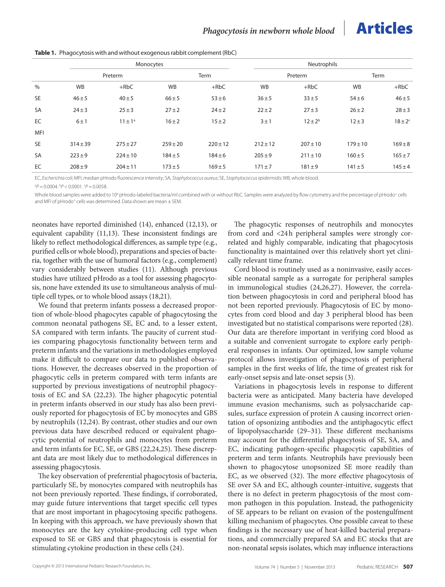|               | Monocytes    |              |              |              | Neutrophils  |                |              |                         |
|---------------|--------------|--------------|--------------|--------------|--------------|----------------|--------------|-------------------------|
|               | Preterm      |              | <b>Term</b>  |              | Preterm      |                | <b>Term</b>  |                         |
| $\frac{0}{0}$ | <b>WB</b>    | $+$ RbC      | <b>WB</b>    | $+$ RbC      | <b>WB</b>    | $+$ RbC        | <b>WB</b>    | $+$ RbC                 |
| <b>SE</b>     | $46 + 5$     | $40 + 5$     | $66 + 5$     | $53 + 6$     | $36 + 5$     | $33 + 5$       | $54 \pm 6$   | $46 + 5$                |
| <b>SA</b>     | $24 \pm 3$   | $25 + 3$     | $27 + 2$     | $24 \pm 2$   | $22 \pm 2$   | $27 + 3$       | $26 \pm 2$   | $28 + 3$                |
| EC            | 6±1          | $11 \pm 1^a$ | $16 + 2$     | $15 + 2$     | $3 \pm 1$    | $12 \pm 2^{b}$ | $12 \pm 3$   | $18 \pm 2$ <sup>c</sup> |
| MFI           |              |              |              |              |              |                |              |                         |
| <b>SE</b>     | $314 \pm 39$ | $275 \pm 27$ | $259 \pm 20$ | $220 \pm 12$ | $212 \pm 12$ | $207 \pm 10$   | $179 \pm 10$ | $169 + 8$               |
| <b>SA</b>     | $223 \pm 9$  | $224 \pm 10$ | $184 + 5$    | $184 + 6$    | $205 \pm 9$  | $211 \pm 10$   | $160 + 5$    | $165 + 7$               |
| EC            | $208 \pm 9$  | $204 \pm 11$ | $173 + 5$    | $169 + 5$    | $171 \pm 7$  | $181 \pm 9$    | $141 \pm 5$  | $145 \pm 4$             |

**Table 1.** Phagocytosis with and without exogenous rabbit complement (RbC)

EC, *Escherichia coli*; MFI, median pHrodo fluorescence intensity; SA, *Staphylococcus aureus*; SE, *Staphylococcus epidermidis*; WB, whole blood*.*

 ${}^{a}P = 0.0004$ .  ${}^{b}P < 0.0001$ .  ${}^{c}P = 0.0058$ .

Whole blood samples were added to 108 pHrodo-labeled bacteria/ml combined with or without RbC. Samples were analyzed by flow cytometry and the percentage of pHrodo+ cells and MFI of pHrodo<sup>+</sup> cells was determined. Data shown are mean ± SEM.

neonates have reported diminished (14), enhanced (12,13), or equivalent capability (11,13). These inconsistent findings are likely to reflect methodological differences, as sample type (e.g., purified cells or whole blood), preparations and species of bacteria, together with the use of humoral factors (e.g., complement) vary considerably between studies (11). Although previous studies have utilized pHrodo as a tool for assessing phagocytosis, none have extended its use to simultaneous analysis of multiple cell types, or to whole blood assays (18,21).

We found that preterm infants possess a decreased proportion of whole-blood phagocytes capable of phagocytosing the common neonatal pathogens SE, EC and, to a lesser extent, SA compared with term infants. The paucity of current studies comparing phagocytosis functionality between term and preterm infants and the variations in methodologies employed make it difficult to compare our data to published observations. However, the decreases observed in the proportion of phagocytic cells in preterm compared with term infants are supported by previous investigations of neutrophil phagocytosis of EC and SA (22,23). The higher phagocytic potential in preterm infants observed in our study has also been previously reported for phagocytosis of EC by monocytes and GBS by neutrophils (12,24). By contrast, other studies and our own previous data have described reduced or equivalent phagocytic potential of neutrophils and monocytes from preterm and term infants for EC, SE, or GBS (22,24,25). These discrepant data are most likely due to methodological differences in assessing phagocytosis.

The key observation of preferential phagocytosis of bacteria, particularly SE, by monocytes compared with neutrophils has not been previously reported. These findings, if corroborated, may guide future interventions that target specific cell types that are most important in phagocytosing specific pathogens. In keeping with this approach, we have previously shown that monocytes are the key cytokine-producing cell type when exposed to SE or GBS and that phagocytosis is essential for stimulating cytokine production in these cells (24).

The phagocytic responses of neutrophils and monocytes from cord and <24h peripheral samples were strongly correlated and highly comparable, indicating that phagocytosis functionality is maintained over this relatively short yet clinically relevant time frame.

Cord blood is routinely used as a noninvasive, easily accessible neonatal sample as a surrogate for peripheral samples in immunological studies (24,26,27). However, the correlation between phagocytosis in cord and peripheral blood has not been reported previously. Phagocytosis of EC by monocytes from cord blood and day 3 peripheral blood has been investigated but no statistical comparisons were reported (28). Our data are therefore important in verifying cord blood as a suitable and convenient surrogate to explore early peripheral responses in infants. Our optimized, low sample volume protocol allows investigation of phagocytosis of peripheral samples in the first weeks of life, the time of greatest risk for early-onset sepsis and late-onset sepsis (3).

Variations in phagocytosis levels in response to different bacteria were as anticipated. Many bacteria have developed immune evasion mechanisms, such as polysaccharide capsules, surface expression of protein A causing incorrect orientation of opsonizing antibodies and the antiphagocytic effect of lipopolysaccharide (29–31). These different mechanisms may account for the differential phagocytosis of SE, SA, and EC, indicating pathogen-specific phagocytic capabilities of preterm and term infants. Neutrophils have previously been shown to phagocytose unopsonized SE more readily than EC, as we observed (32). The more effective phagocytosis of SE over SA and EC, although counter-intuitive, suggests that there is no defect in preterm phagocytosis of the most common pathogen in this population. Instead, the pathogenicity of SE appears to be reliant on evasion of the postengulfment killing mechanism of phagocytes. One possible caveat to these findings is the necessary use of heat-killed bacterial preparations, and commercially prepared SA and EC stocks that are non-neonatal sepsis isolates, which may influence interactions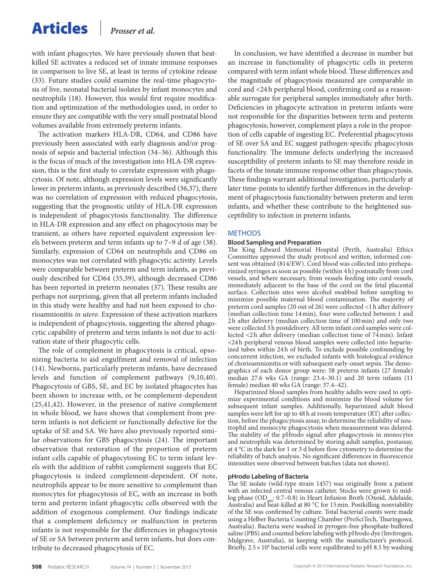with infant phagocytes. We have previously shown that heatkilled SE activates a reduced set of innate immune responses in comparison to live SE, at least in terms of cytokine release (33). Future studies could examine the real-time phagocytosis of live, neonatal bacterial isolates by infant monocytes and neutrophils (18). However, this would first require modification and optimization of the methodologies used, in order to ensure they are compatible with the very small postnatal blood volumes available from extremely preterm infants.

The activation markers HLA-DR, CD64, and CD86 have previously been associated with early diagnosis and/or prognosis of sepsis and bacterial infection (34–36). Although this is the focus of much of the investigation into HLA-DR expression, this is the first study to correlate expression with phagocytosis. Of note, although expression levels were significantly lower in preterm infants, as previously described (36,37), there was no correlation of expression with reduced phagocytosis, suggesting that the prognostic utility of HLA-DR expression is independent of phagocytosis functionality. The difference in HLA-DR expression and any effect on phagocytosis may be transient, as others have reported equivalent expression levels between preterm and term infants up to 7–9 d of age (38). Similarly, expression of CD64 on neutrophils and CD86 on monocytes was not correlated with phagocytic activity. Levels were comparable between preterm and term infants, as previously described for CD64 (35,39), although decreased CD86 has been reported in preterm neonates (37). These results are perhaps not surprising, given that all preterm infants included in this study were healthy and had not been exposed to chorioamnionitis *in utero*. Expression of these activation markers is independent of phagocytosis, suggesting the altered phagocytic capability of preterm and term infants is not due to activation state of their phagocytic cells.

The role of complement in phagocytosis is critical, opsonizing bacteria to aid engulfment and removal of infection (14). Newborns, particularly preterm infants, have decreased levels and function of complement pathways (9,10,40). Phagocytosis of GBS, SE, and EC by isolated phagocytes has been shown to increase with, or be complement-dependent (25,41,42). However, in the presence of native complement in whole blood, we have shown that complement from preterm infants is not deficient or functionally defective for the uptake of SE and SA. We have also previously reported similar observations for GBS phagocytosis (24). The important observation that restoration of the proportion of preterm infant cells capable of phagocytosing EC to term infant levels with the addition of rabbit complement suggests that EC phagocytosis is indeed complement-dependent. Of note, neutrophils appear to be more sensitive to complement than monocytes for phagocytosis of EC, with an increase in both term and preterm infant phagocytic cells observed with the addition of exogenous complement. Our findings indicate that a complement deficiency or malfunction in preterm infants is not responsible for the differences in phagocytosis of SE or SA between preterm and term infants, but does contribute to decreased phagocytosis of EC.

In conclusion, we have identified a decrease in number but an increase in functionality of phagocytic cells in preterm compared with term infant whole blood. These differences and the magnitude of phagocytosis measured are comparable in cord and <24h peripheral blood, confirming cord as a reasonable surrogate for peripheral samples immediately after birth. Deficiencies in phagocyte activation in preterm infants were not responsible for the disparities between term and preterm phagocytosis; however, complement plays a role in the proportion of cells capable of ingesting EC. Preferential phagocytosis of SE over SA and EC suggest pathogen-specific phagocytosis functionality. The immune defects underlying the increased susceptibility of preterm infants to SE may therefore reside in facets of the innate immune response other than phagocytosis. These findings warrant additional investigation, particularly at later time-points to identify further differences in the development of phagocytosis functionality between preterm and term infants, and whether these contribute to the heightened susceptibility to infection in preterm infants.

## **METHODS**

#### **Blood Sampling and Preparation**

The King Edward Memorial Hospital (Perth, Australia) Ethics Committee approved the study protocol and written, informed consent was obtained (814/EW). Cord blood was collected into preheparinized syringes as soon as possible (within 4h) postnatally from cord vessels, and where necessary, from vessels feeding into cord vessels, immediately adjacent to the base of the cord on the fetal placental surface. Collection sites were alcohol swabbed before sampling to minimize possible maternal blood contamination. The majority of preterm cord samples (20 out of 26) were collected <1h after delivery (median collection time 14min), four were collected between 1 and 2h after delivery (median collection time of 100min) and only two were collected 3h postdelivery. All term infant cord samples were collected <2h after delivery (median collection time of 74min). Infant <24h peripheral venous blood samples were collected into heparinized tubes within 24h of birth. To exclude possible confounding by concurrent infection, we excluded infants with histological evidence of chorioamnionitis or with subsequent early-onset sepsis. The demographics of each donor group were: 58 preterm infants (27 female) median 27.6 wks GA (range: 23.4–30.1) and 20 term infants (11 female) median 40 wks GA (range: 37.4–42).

Heparinized blood samples from healthy adults were used to optimize experimental conditions and minimize the blood volume for subsequent infant samples. Additionally, heparinized adult blood samples were left for up to 48h at room temperature (RT) after collection, before the phagocytosis assay, to determine the reliability of neutrophil and monocyte phagocytosis when measurement was delayed. The stability of the pHrodo signal after phagocytosis in monocytes and neutrophils was determined by storing adult samples, postassay, at 4 °C in the dark for 1 or 3 d before flow cytometry to determine the reliability of batch analysis. No significant differences in fluorescence intensities were observed between batches (data not shown).

## **pHrodo Labeling of Bacteria**

The SE isolate (wild-type strain 1457) was originally from a patient with an infected central venous catheter. Stocks were grown to midlog phase (OD<sub>600</sub>: 0.7–0.8) in Heart Infusion Broth (Oxoid, Adelaide, Australia) and heat-killed at 80 °C for 15min. Postkilling nonviability of the SE was confirmed by culture. Total bacterial counts were made using a Helber Bacteria Counting Chamber (ProSciTech, Thuringowa, Australia). Bacteria were washed in pyrogen-free phosphate-buffered saline (PBS) and counted before labeling with pHrodo dye (Invitrogen, Mulgrave, Australia), in keeping with the manufacturer's protocol. Briefly,  $2.5 \times 10^9$  bacterial cells were equilibrated to pH 8.5 by washing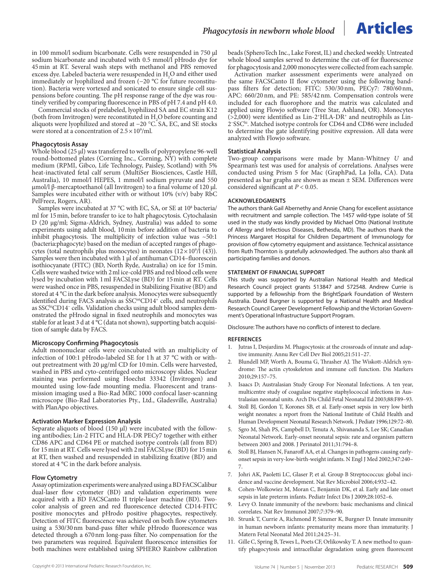

in 100 mmol/l sodium bicarbonate. Cells were resuspended in 750 μl sodium bicarbonate and incubated with 0.5 mmol/l pHrodo dye for 45min at RT. Several wash steps with methanol and PBS removed excess dye. Labeled bacteria were resuspended in  $H_2O$  and either used immediately or lyophilized and frozen (−20 °C for future reconstitution). Bacteria were vortexed and sonicated to ensure single cell suspensions before counting. The pH response range of the dye was routinely verified by comparing fluorescence in PBS of pH 7.4 and pH 4.0.

Commercial stocks of prelabeled, lyophilized SA and EC strain K12 (both from Invitrogen) were reconstituted in  $H_2O$  before counting and aliquots were lyophilized and stored at −20 °C. SA, EC, and SE stocks were stored at a concentration of  $2.5 \times 10^9$ /ml.

## **Phagocytosis Assay**

Whole blood (25 μl) was transferred to wells of polypropylene 96-well round-bottomed plates (Corning Inc., Corning, NY) with complete medium (RPMI, Gibco, Life Technology, Paisley, Scotland) with 5% heat-inactivated fetal calf serum (MultiSer Biosciences, Castle Hill, Australia), 10 mmol/l HEPES, 1 mmol/l sodium pyruvate and 550 μmol/l β-mercaptoethanol (all Invitrogen) to a final volume of 120 μl. Samples were incubated either with or without 10% (v/v) baby RbC PelFreez, Rogers, AR).

Samples were incubated at 37 °C with EC, SA, or SE at 10<sup>8</sup> bacteria/ ml for 15min, before transfer to ice to halt phagocytosis. Cytochalasin D (20 μg/ml; Sigma-Aldrich, Sydney, Australia) was added to some experiments using adult blood, 10min before addition of bacteria to inhibit phagocytosis. The multiplicity of infection value was  $~50:1$ (bacteria:phagocyte) based on the median of accepted ranges of phagocytes (total neutrophils plus monocytes) in neonates  $(12 \times 10^9/1 \text{ (43)}).$ Samples were then incubated with 1 μl of antihuman CD14–fluorescein isothiocyanate (FITC) (BD, North Ryde, Australia) on ice for 15min. Cells were washed twice with 2ml ice-cold PBS and red blood cells were lysed by incubation with 1ml FACSLyse (BD) for 15min at RT. Cells were washed once in PBS, resuspended in Stabilizing Fixative (BD) and stored at 4 °C in the dark before analysis. Monocytes were subsequently identified during FACS analysis as SSC<sup>int</sup>CD14<sup>+</sup> cells, and neutrophils as SSCʰiCD14<sup>−</sup> cells. Validation checks using adult blood samples demonstrated the pHrodo signal in fixed neutrophils and monocytes was stable for at least 3 d at 4 °C (data not shown), supporting batch acquisition of sample data by FACS.

## **Microscopy Confirming Phagocytosis**

Adult mononuclear cells were coincubated with an multiplicity of infection of 100:1 pHrodo-labeled SE for 1h at 37 °C with or without pretreatment with 20 μg/ml CD for 10min. Cells were harvested, washed in PBS and cyto-centrifuged onto microscopy slides. Nuclear staining was performed using Hoechst 33342 (Invitrogen) and mounted using low-fade mounting media. Fluorescent and transmission imaging used a Bio-Rad MRC 1000 confocal laser-scanning microscope (Bio-Rad Laboratories Pty., Ltd., Gladesville, Australia) with PlanApo objectives.

## **Activation Marker Expression Analysis**

Separate aliquots of blood (150 μl) were incubated with the following antibodies; Lin-2 FITC and HLA-DR PECy7 together with either CD86 APC and CD64 PE or matched isotype controls (all from BD) for 15min at RT. Cells were lysed with 2ml FACSLyse (BD) for 15min at RT, then washed and resuspended in stabilizing fixative (BD) and stored at 4 °C in the dark before analysis.

#### **Flow Cytometry**

Assay optimization experiments were analyzed using a BD FACSCalibur dual-laser flow cytometer (BD) and validation experiments were acquired with a BD FACSCanto II triple-laser machine (BD). Twocolor analysis of green and red fluorescence detected CD14-FITC positive monocytes and pHrodo positive phagocytes, respectively. Detection of FITC fluorescence was achieved on both flow cytometers using a 530/30nm band-pass filter while pHrodo fluorescence was detected through a 670nm long-pass filter. No compensation for the two parameters was required. Equivalent fluorescence intensities for both machines were established using SPHERO Rainbow calibration

Activation marker assessment experiments were analyzed on the same FACSCanto II flow cytometer using the following bandpass filters for detection; FITC: 530/30nm, PECy7: 780/60nm, APC: 660/20nm, and PE: 585/42nm. Compensation controls were included for each fluorophore and the matrix was calculated and applied using Flowjo software (Tree Star, Ashland, OR). Monocytes (>2,000) were identified as Lin-2+HLA-DR+ and neutrophils as Lin-2<sup>-</sup>SSC<sup>hi</sup>. Matched isotype controls for CD64 and CD86 were included to determine the gate identifying positive expression. All data were analyzed with Flowjo software.

## **Statistical Analysis**

Two-group comparisons were made by Mann-Whitney *U* and Spearman's test was used for analysis of correlations. Analyses were conducted using Prism 5 for Mac (GraphPad, La Jolla, CA). Data presented as bar graphs are shown as mean ± SEM. Differences were considered significant at *P* < 0.05.

#### **ACKNOWLEDGMENTS**

The authors thank Gail Abernethy and Annie Chang for excellent assistance with recruitment and sample collection. The 1457 wild-type isolate of SE used in the study was kindly provided by Michael Otto (National Institute of Allergy and Infectious Diseases, Bethesda, MD). The authors thank the Princess Margaret Hospital for Children Department of Immunology for provision of flow cytometry equipment and assistance. Technical assistance from Ruth Thornton is gratefully acknowledged. The authors also thank all participating families and donors.

#### **STATEMENT OF FINANCIAL SUPPORT**

This study was supported by Australian National Health and Medical Research Council project grants 513847 and 572548. Andrew Currie is supported by a fellowship from the BrightSpark Foundation of Western Australia. David Burgner is supported by a National Health and Medical Research Council Career Development Fellowship and the Victorian Government's Operational Infrastructure Support Program.

Disclosure: The authors have no conflicts of interest to declare.

## **References**

- 1. Jutras I, Desjardins M. Phagocytosis: at the crossroads of innate and adaptive immunity. Annu Rev Cell Dev Biol 2005;21:511–27.
- 2. Blundell MP, Worth A, Bouma G, Thrasher AJ. The Wiskott-Aldrich syndrome: The actin cytoskeleton and immune cell function. Dis Markers 2010;29:157–75.
- 3. Isaacs D; Australasian Study Group For Neonatal Infections. A ten year, multicentre study of coagulase negative staphylococcal infections in Australasian neonatal units. Arch Dis Child Fetal Neonatal Ed 2003;88:F89–93.
- 4. Stoll BJ, Gordon T, Korones SB, et al. Early-onset sepsis in very low birth weight neonates: a report from the National Institute of Child Health and Human Development Neonatal Research Network. J Pediatr 1996;129:72–80.
- 5. Sgro M, Shah PS, Campbell D, Tenuta A, Shivananda S, Lee SK; Canadian Neonatal Network. Early-onset neonatal sepsis: rate and organism pattern between 2003 and 2008. J Perinatol 2011;31:794–8.
- Stoll BJ, Hansen N, Fanaroff AA, et al. Changes in pathogens causing earlyonset sepsis in very-low-birth-weight infants. N Engl J Med 2002;347:240– 7.
- 7. Johri AK, Paoletti LC, Glaser P, et al. Group B Streptococcus: global incidence and vaccine development. Nat Rev Microbiol 2006;4:932–42.
- 8. Cohen-Wolkowiez M, Moran C, Benjamin DK, et al. Early and late onset sepsis in late preterm infants. Pediatr Infect Dis J 2009;28:1052–6.
- Levy O. Innate immunity of the newborn: basic mechanisms and clinical correlates. Nat Rev Immunol 2007;7:379–90.
- 10. Strunk T, Currie A, Richmond P, Simmer K, Burgner D. Innate immunity in human newborn infants: prematurity means more than immaturity. J Matern Fetal Neonatal Med 2011;24:25–31.
- 11. Gille C, Spring B, Tewes L, Poets CF, Orlikowsky T. A new method to quantify phagocytosis and intracellular degradation using green fluorescent